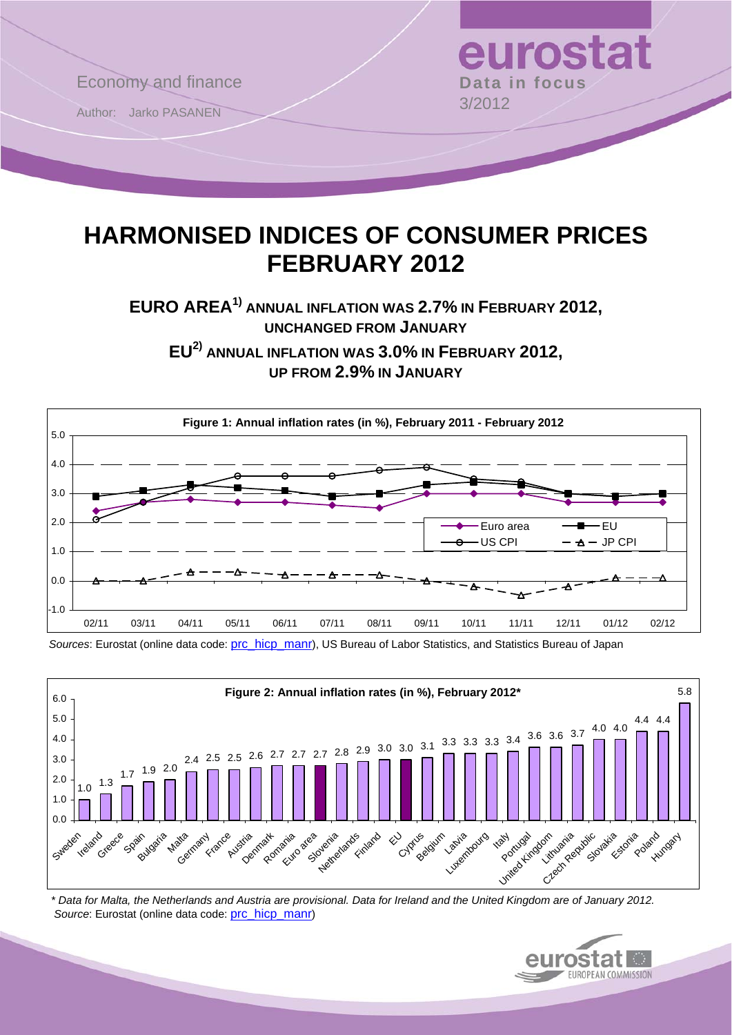

# **HARMONISED INDICES OF CONSUMER PRICES FEBRUARY 2012**

**EURO AREA1) ANNUAL INFLATION WAS 2.7% IN FEBRUARY 2012, UNCHANGED FROM JANUARY**

**EU2) ANNUAL INFLATION WAS 3.0% IN FEBRUARY 2012, UP FROM 2.9% IN JANUARY**



*Sources*: Eurostat (online data code: [prc\\_hicp\\_manr\)](http://ec.europa.eu/eurostat/product?code=prc_hicp_manr&mode=view), US Bureau of Labor Statistics, and Statistics Bureau of Japan



 *\* Data for Malta, the Netherlands and Austria are provisional. Data for Ireland and the United Kingdom are of January 2012. Source*: Eurostat (online data code: [prc\\_hicp\\_manr\)](http://ec.europa.eu/eurostat/product?code=prc_hicp_manr&mode=view)

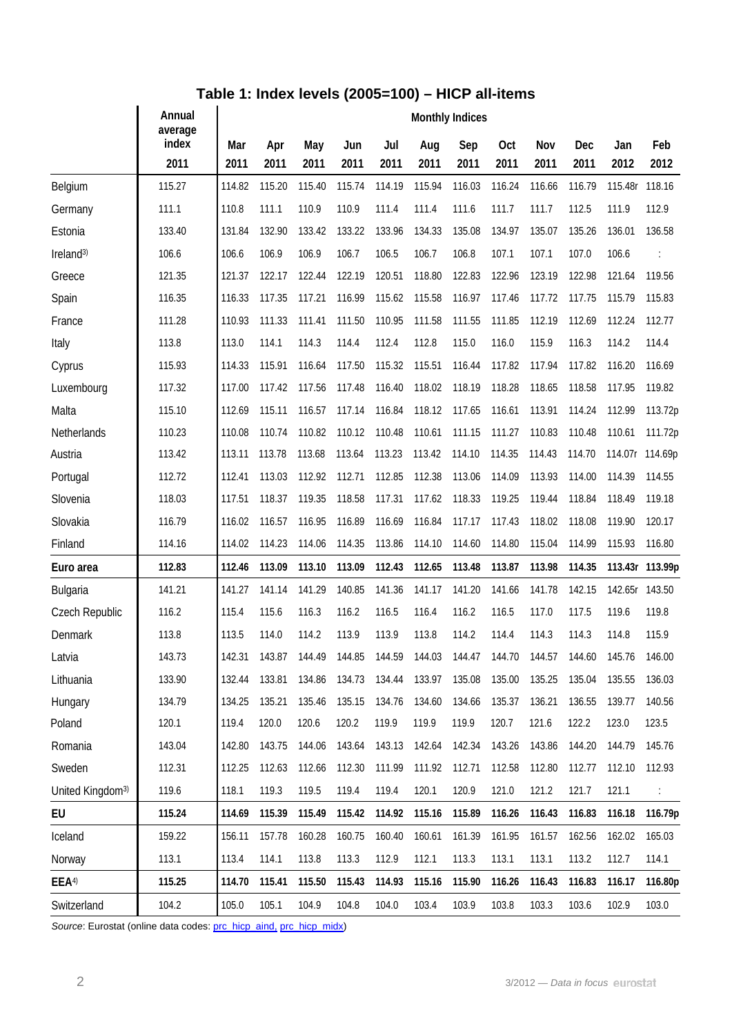## **Table 1: Index levels (2005=100) – HICP all-items**

|                              | Annual<br>average | <b>Monthly Indices</b> |             |             |             |             |             |             |             |             |             |                |                 |
|------------------------------|-------------------|------------------------|-------------|-------------|-------------|-------------|-------------|-------------|-------------|-------------|-------------|----------------|-----------------|
|                              | index<br>2011     | Mar<br>2011            | Apr<br>2011 | May<br>2011 | Jun<br>2011 | Jul<br>2011 | Aug<br>2011 | Sep<br>2011 | Oct<br>2011 | Nov<br>2011 | Dec<br>2011 | Jan<br>2012    | Feb<br>2012     |
| Belgium                      | 115.27            | 114.82                 | 115.20      | 115.40      | 115.74      | 114.19      | 115.94      | 116.03      | 116.24      | 116.66      | 116.79      | 115.48r        | 118.16          |
| Germany                      | 111.1             | 110.8                  | 111.1       | 110.9       | 110.9       | 111.4       | 111.4       | 111.6       | 111.7       | 111.7       | 112.5       | 111.9          | 112.9           |
| Estonia                      | 133.40            | 131.84                 | 132.90      | 133.42      | 133.22      | 133.96      | 134.33      | 135.08      | 134.97      | 135.07      | 135.26      | 136.01         | 136.58          |
| Ireland <sup>3)</sup>        | 106.6             | 106.6                  | 106.9       | 106.9       | 106.7       | 106.5       | 106.7       | 106.8       | 107.1       | 107.1       | 107.0       | 106.6          |                 |
| Greece                       | 121.35            | 121.37                 | 122.17      | 122.44      | 122.19      | 120.51      | 118.80      | 122.83      | 122.96      | 123.19      | 122.98      | 121.64         | 119.56          |
| Spain                        | 116.35            | 116.33                 | 117.35      | 117.21      | 116.99      | 115.62      | 115.58      | 116.97      | 117.46      | 117.72      | 117.75      | 115.79         | 115.83          |
| France                       | 111.28            | 110.93                 | 111.33      | 111.41      | 111.50      | 110.95      | 111.58      | 111.55      | 111.85      | 112.19      | 112.69      | 112.24         | 112.77          |
| Italy                        | 113.8             | 113.0                  | 114.1       | 114.3       | 114.4       | 112.4       | 112.8       | 115.0       | 116.0       | 115.9       | 116.3       | 114.2          | 114.4           |
| Cyprus                       | 115.93            | 114.33                 | 115.91      | 116.64      | 117.50      | 115.32      | 115.51      | 116.44      | 117.82      | 117.94      | 117.82      | 116.20         | 116.69          |
| Luxembourg                   | 117.32            | 117.00                 | 117.42      | 117.56      | 117.48      | 116.40      | 118.02      | 118.19      | 118.28      | 118.65      | 118.58      | 117.95         | 119.82          |
| Malta                        | 115.10            | 112.69                 | 115.11      | 116.57      | 117.14      | 116.84      | 118.12      | 117.65      | 116.61      | 113.91      | 114.24      | 112.99         | 113.72p         |
| Netherlands                  | 110.23            | 110.08                 | 110.74      | 110.82      | 110.12      | 110.48      | 110.61      | 111.15      | 111.27      | 110.83      | 110.48      | 110.61         | 111.72p         |
| Austria                      | 113.42            | 113.11                 | 113.78      | 113.68      | 113.64      | 113.23      | 113.42      | 114.10      | 114.35      | 114.43      | 114.70      | 114.07r        | 114.69p         |
| Portugal                     | 112.72            | 112.41                 | 113.03      | 112.92      | 112.71      | 112.85      | 112.38      | 113.06      | 114.09      | 113.93      | 114.00      | 114.39         | 114.55          |
| Slovenia                     | 118.03            | 117.51                 | 118.37      | 119.35      | 118.58      | 117.31      | 117.62      | 118.33      | 119.25      | 119.44      | 118.84      | 118.49         | 119.18          |
| Slovakia                     | 116.79            | 116.02                 | 116.57      | 116.95      | 116.89      | 116.69      | 116.84      | 117.17      | 117.43      | 118.02      | 118.08      | 119.90         | 120.17          |
| Finland                      | 114.16            | 114.02                 | 114.23      | 114.06      | 114.35      | 113.86      | 114.10      | 114.60      | 114.80      | 115.04      | 114.99      | 115.93         | 116.80          |
| Euro area                    | 112.83            | 112.46                 | 113.09      | 113.10      | 113.09      | 112.43      | 112.65      | 113.48      | 113.87      | 113.98      | 114.35      |                | 113.43r 113.99p |
| Bulgaria                     | 141.21            | 141.27                 | 141.14      | 141.29      | 140.85      | 141.36      | 141.17      | 141.20      | 141.66      | 141.78      | 142.15      | 142.65r 143.50 |                 |
| Czech Republic               | 116.2             | 115.4                  | 115.6       | 116.3       | 116.2       | 116.5       | 116.4       | 116.2       | 116.5       | 117.0       | 117.5       | 119.6          | 119.8           |
| Denmark                      | 113.8             | 113.5                  | 114.0       | 114.2       | 113.9       | 113.9       | 113.8       | 114.2       | 114.4       | 114.3       | 114.3       | 114.8          | 115.9           |
| Latvia                       | 143.73            | 142.31                 | 143.87      | 144.49      | 144.85      | 144.59      | 144.03      | 144.47      | 144.70      | 144.57      | 144.60      | 145.76         | 146.00          |
| Lithuania                    | 133.90            | 132.44                 | 133.81      | 134.86      | 134.73      | 134.44      | 133.97      | 135.08      | 135.00      | 135.25      | 135.04      | 135.55         | 136.03          |
| Hungary                      | 134.79            | 134.25                 | 135.21      | 135.46      | 135.15      | 134.76      | 134.60      | 134.66      | 135.37      | 136.21      | 136.55      | 139.77         | 140.56          |
| Poland                       | 120.1             | 119.4                  | 120.0       | 120.6       | 120.2       | 119.9       | 119.9       | 119.9       | 120.7       | 121.6       | 122.2       | 123.0          | 123.5           |
| Romania                      | 143.04            | 142.80                 | 143.75      | 144.06      | 143.64      | 143.13      | 142.64      | 142.34      | 143.26      | 143.86      | 144.20      | 144.79         | 145.76          |
| Sweden                       | 112.31            | 112.25                 | 112.63      | 112.66      | 112.30      | 111.99      | 111.92      | 112.71      | 112.58      | 112.80      | 112.77      | 112.10         | 112.93          |
| United Kingdom <sup>3)</sup> | 119.6             | 118.1                  | 119.3       | 119.5       | 119.4       | 119.4       | 120.1       | 120.9       | 121.0       | 121.2       | 121.7       | 121.1          |                 |
| EU                           | 115.24            | 114.69                 | 115.39      | 115.49      | 115.42      | 114.92      | 115.16      | 115.89      | 116.26      | 116.43      | 116.83      | 116.18         | 116.79p         |
| Iceland                      | 159.22            | 156.11                 | 157.78      | 160.28      | 160.75      | 160.40      | 160.61      | 161.39      | 161.95      | 161.57      | 162.56      | 162.02         | 165.03          |
| Norway                       | 113.1             | 113.4                  | 114.1       | 113.8       | 113.3       | 112.9       | 112.1       | 113.3       | 113.1       | 113.1       | 113.2       | 112.7          | 114.1           |
| EEA <sup>4)</sup>            | 115.25            | 114.70                 | 115.41      | 115.50      | 115.43      | 114.93      | 115.16      | 115.90      | 116.26      | 116.43      | 116.83      | 116.17         | 116.80p         |
| Switzerland                  | 104.2             | 105.0                  | 105.1       | 104.9       | 104.8       | 104.0       | 103.4       | 103.9       | 103.8       | 103.3       | 103.6       | 102.9          | 103.0           |

Source: Eurostat (online data codes: [prc\\_hicp\\_aind,](http://ec.europa.eu/eurostat/product?code=prc_hicp_aind&mode=view) [prc\\_hicp\\_midx](http://ec.europa.eu/eurostat/product?code=prc_hicp_midx&mode=view))

 $\overline{a}$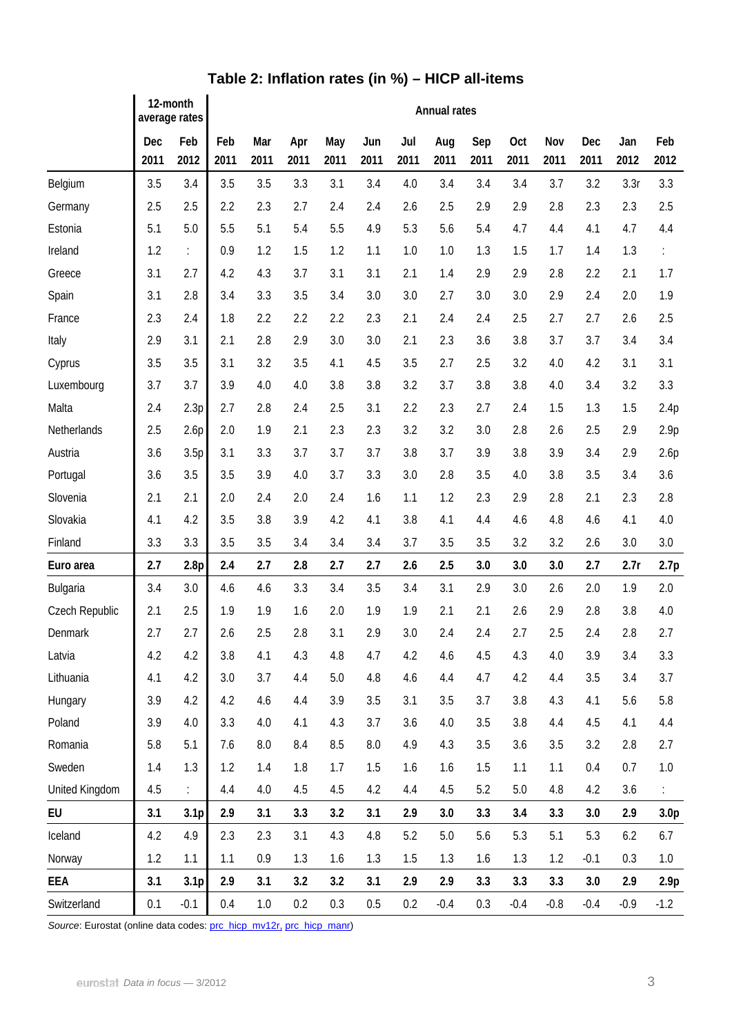|                | 12-month<br>average rates |                  | <b>Annual rates</b> |             |             |             |             |             |             |             |             |             |             |             |                  |
|----------------|---------------------------|------------------|---------------------|-------------|-------------|-------------|-------------|-------------|-------------|-------------|-------------|-------------|-------------|-------------|------------------|
|                | Dec<br>2011               | Feb<br>2012      | Feb<br>2011         | Mar<br>2011 | Apr<br>2011 | May<br>2011 | Jun<br>2011 | Jul<br>2011 | Aug<br>2011 | Sep<br>2011 | Oct<br>2011 | Nov<br>2011 | Dec<br>2011 | Jan<br>2012 | Feb<br>2012      |
| Belgium        | 3.5                       | 3.4              | 3.5                 | 3.5         | 3.3         | 3.1         | 3.4         | 4.0         | 3.4         | 3.4         | 3.4         | 3.7         | 3.2         | 3.3r        | 3.3              |
| Germany        | 2.5                       | 2.5              | 2.2                 | 2.3         | 2.7         | 2.4         | 2.4         | 2.6         | 2.5         | 2.9         | 2.9         | 2.8         | 2.3         | 2.3         | 2.5              |
| Estonia        | 5.1                       | 5.0              | 5.5                 | 5.1         | 5.4         | 5.5         | 4.9         | 5.3         | 5.6         | 5.4         | 4.7         | 4.4         | 4.1         | 4.7         | 4.4              |
| Ireland        | 1.2                       | ÷.               | 0.9                 | 1.2         | 1.5         | 1.2         | 1.1         | 1.0         | 1.0         | 1.3         | 1.5         | 1.7         | 1.4         | 1.3         | ÷.               |
| Greece         | 3.1                       | 2.7              | 4.2                 | 4.3         | 3.7         | 3.1         | 3.1         | 2.1         | 1.4         | 2.9         | 2.9         | 2.8         | 2.2         | 2.1         | 1.7              |
| Spain          | 3.1                       | 2.8              | 3.4                 | 3.3         | 3.5         | 3.4         | 3.0         | 3.0         | 2.7         | 3.0         | 3.0         | 2.9         | 2.4         | 2.0         | 1.9              |
| France         | 2.3                       | 2.4              | 1.8                 | 2.2         | 2.2         | 2.2         | 2.3         | 2.1         | 2.4         | 2.4         | 2.5         | 2.7         | 2.7         | 2.6         | 2.5              |
| Italy          | 2.9                       | 3.1              | 2.1                 | 2.8         | 2.9         | 3.0         | 3.0         | 2.1         | 2.3         | 3.6         | 3.8         | 3.7         | 3.7         | 3.4         | 3.4              |
| Cyprus         | 3.5                       | 3.5              | 3.1                 | 3.2         | 3.5         | 4.1         | 4.5         | 3.5         | 2.7         | 2.5         | 3.2         | 4.0         | 4.2         | 3.1         | 3.1              |
| Luxembourg     | 3.7                       | 3.7              | 3.9                 | 4.0         | 4.0         | 3.8         | 3.8         | 3.2         | 3.7         | 3.8         | 3.8         | 4.0         | 3.4         | 3.2         | 3.3              |
| Malta          | 2.4                       | 2.3p             | 2.7                 | 2.8         | 2.4         | 2.5         | 3.1         | 2.2         | 2.3         | 2.7         | 2.4         | 1.5         | 1.3         | 1.5         | 2.4p             |
| Netherlands    | 2.5                       | 2.6p             | 2.0                 | 1.9         | 2.1         | 2.3         | 2.3         | 3.2         | 3.2         | 3.0         | 2.8         | 2.6         | 2.5         | 2.9         | 2.9p             |
| Austria        | 3.6                       | 3.5p             | 3.1                 | 3.3         | 3.7         | 3.7         | 3.7         | 3.8         | 3.7         | 3.9         | 3.8         | 3.9         | 3.4         | 2.9         | 2.6p             |
| Portugal       | 3.6                       | 3.5              | 3.5                 | 3.9         | 4.0         | 3.7         | 3.3         | 3.0         | 2.8         | 3.5         | 4.0         | 3.8         | 3.5         | 3.4         | 3.6              |
| Slovenia       | 2.1                       | 2.1              | 2.0                 | 2.4         | 2.0         | 2.4         | 1.6         | 1.1         | 1.2         | 2.3         | 2.9         | 2.8         | 2.1         | 2.3         | 2.8              |
| Slovakia       | 4.1                       | 4.2              | 3.5                 | 3.8         | 3.9         | 4.2         | 4.1         | 3.8         | 4.1         | 4.4         | 4.6         | 4.8         | 4.6         | 4.1         | 4.0              |
| Finland        | 3.3                       | 3.3              | 3.5                 | 3.5         | 3.4         | 3.4         | 3.4         | 3.7         | 3.5         | 3.5         | 3.2         | 3.2         | 2.6         | 3.0         | 3.0              |
| Euro area      | 2.7                       | 2.8 <sub>p</sub> | 2.4                 | 2.7         | 2.8         | 2.7         | 2.7         | 2.6         | 2.5         | 3.0         | 3.0         | 3.0         | 2.7         | 2.7r        | 2.7p             |
| Bulgaria       | 3.4                       | 3.0              | 4.6                 | 4.6         | 3.3         | 3.4         | 3.5         | 3.4         | 3.1         | 2.9         | 3.0         | 2.6         | 2.0         | 1.9         | 2.0              |
| Czech Republic | 2.1                       | 2.5              | 1.9                 | 1.9         | 1.6         | 2.0         | 1.9         | 1.9         | 2.1         | 2.1         | 2.6         | 2.9         | 2.8         | 3.8         | 4.0              |
| Denmark        | 2.7                       | 2.7              | 2.6                 | 2.5         | 2.8         | 3.1         | 2.9         | 3.0         | 2.4         | 2.4         | 2.7         | 2.5         | 2.4         | 2.8         | 2.7              |
| Latvia         | 4.2                       | 4.2              | 3.8                 | 4.1         | 4.3         | 4.8         | 4.7         | 4.2         | 4.6         | 4.5         | 4.3         | 4.0         | 3.9         | 3.4         | 3.3              |
| Lithuania      | 4.1                       | 4.2              | 3.0                 | 3.7         | 4.4         | 5.0         | 4.8         | 4.6         | 4.4         | 4.7         | 4.2         | 4.4         | 3.5         | 3.4         | 3.7              |
| Hungary        | 3.9                       | 4.2              | 4.2                 | 4.6         | 4.4         | 3.9         | 3.5         | 3.1         | 3.5         | 3.7         | 3.8         | 4.3         | 4.1         | 5.6         | 5.8              |
| Poland         | 3.9                       | 4.0              | 3.3                 | 4.0         | 4.1         | 4.3         | 3.7         | 3.6         | 4.0         | 3.5         | 3.8         | 4.4         | 4.5         | 4.1         | 4.4              |
| Romania        | 5.8                       | 5.1              | 7.6                 | 8.0         | 8.4         | 8.5         | 8.0         | 4.9         | 4.3         | 3.5         | 3.6         | 3.5         | 3.2         | 2.8         | 2.7              |
| Sweden         | 1.4                       | 1.3              | 1.2                 | 1.4         | 1.8         | 1.7         | 1.5         | 1.6         | 1.6         | 1.5         | 1.1         | 1.1         | 0.4         | 0.7         | 1.0              |
| United Kingdom | 4.5                       | $\mathbb{R}^n$   | 4.4                 | 4.0         | 4.5         | 4.5         | 4.2         | 4.4         | 4.5         | 5.2         | 5.0         | 4.8         | 4.2         | 3.6         |                  |
| EU             | 3.1                       | 3.1 <sub>p</sub> | 2.9                 | 3.1         | 3.3         | 3.2         | 3.1         | 2.9         | 3.0         | 3.3         | 3.4         | 3.3         | 3.0         | 2.9         | 3.0 <sub>p</sub> |
| Iceland        | 4.2                       | 4.9              | 2.3                 | 2.3         | 3.1         | 4.3         | 4.8         | 5.2         | 5.0         | 5.6         | 5.3         | 5.1         | 5.3         | 6.2         | 6.7              |
| Norway         | 1.2                       | 1.1              | 1.1                 | 0.9         | 1.3         | 1.6         | 1.3         | 1.5         | 1.3         | 1.6         | 1.3         | 1.2         | $-0.1$      | 0.3         | 1.0              |
| EEA            | 3.1                       | 3.1 <sub>p</sub> | 2.9                 | 3.1         | 3.2         | 3.2         | 3.1         | 2.9         | 2.9         | 3.3         | 3.3         | 3.3         | 3.0         | 2.9         | 2.9 <sub>p</sub> |
| Switzerland    | 0.1                       | $-0.1$           | 0.4                 | 1.0         | 0.2         | 0.3         | 0.5         | 0.2         | $-0.4$      | 0.3         | $-0.4$      | $-0.8$      | $-0.4$      | $-0.9$      | $-1.2$           |

## **Table 2: Inflation rates (in %) – HICP all-items**

Source: Eurostat (online data codes: [prc\\_hicp\\_mv12r,](http://ec.europa.eu/eurostat/product?code=prc_hicp_mv12r&mode=view) [prc\\_hicp\\_manr](http://ec.europa.eu/eurostat/product?code=prc_hicp_manr&mode=view))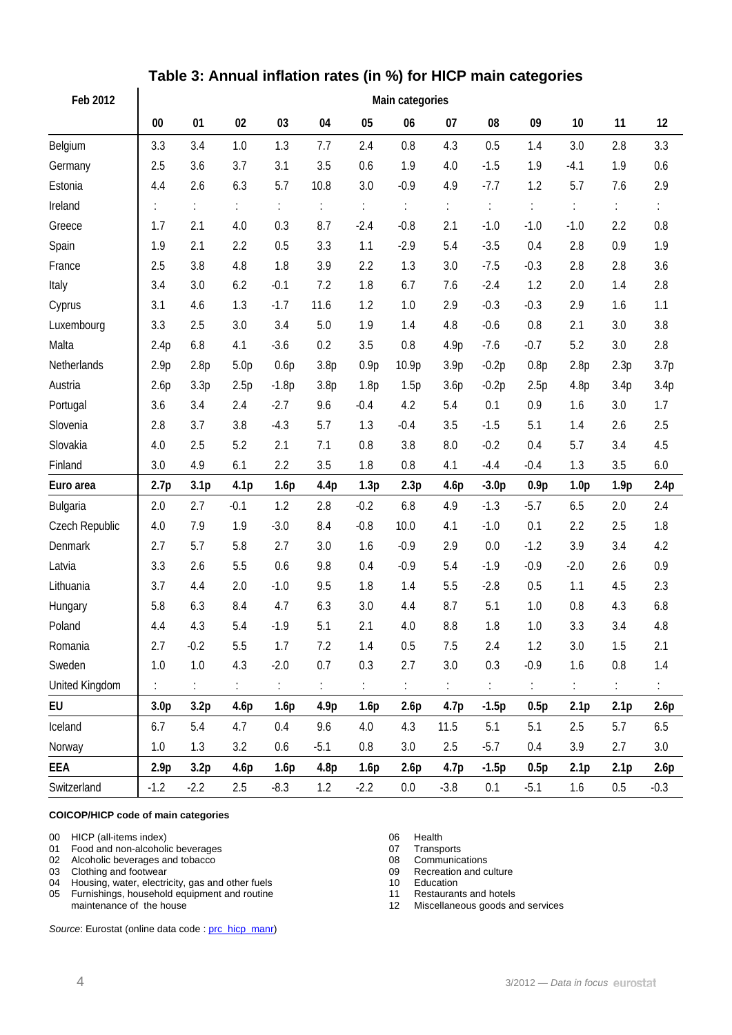| Feb 2012              | Main categories  |                  |                  |         |                  |        |        |                  |         |        |                  |                  |         |  |
|-----------------------|------------------|------------------|------------------|---------|------------------|--------|--------|------------------|---------|--------|------------------|------------------|---------|--|
|                       | $00\,$           | 01               | 02               | 03      | 04               | 05     | 06     | 07               | 08      | 09     | 10               | 11               | 12      |  |
| Belgium               | 3.3              | 3.4              | 1.0              | 1.3     | 7.7              | 2.4    | 0.8    | 4.3              | 0.5     | 1.4    | 3.0              | 2.8              | 3.3     |  |
| Germany               | 2.5              | 3.6              | 3.7              | 3.1     | 3.5              | 0.6    | 1.9    | 4.0              | $-1.5$  | 1.9    | $-4.1$           | 1.9              | 0.6     |  |
| Estonia               | 4.4              | 2.6              | 6.3              | 5.7     | 10.8             | 3.0    | $-0.9$ | 4.9              | $-7.7$  | 1.2    | 5.7              | 7.6              | 2.9     |  |
| Ireland               |                  | ÷.               | ÷                | t.      | ÷.               | ÷,     | ÷      | ÷                | ÷       | ÷.     | ÷                | t.               | t.      |  |
| Greece                | 1.7              | 2.1              | 4.0              | 0.3     | 8.7              | $-2.4$ | $-0.8$ | 2.1              | $-1.0$  | $-1.0$ | $-1.0$           | 2.2              | 0.8     |  |
| Spain                 | 1.9              | 2.1              | 2.2              | 0.5     | 3.3              | 1.1    | $-2.9$ | 5.4              | $-3.5$  | 0.4    | 2.8              | 0.9              | 1.9     |  |
| France                | 2.5              | 3.8              | 4.8              | 1.8     | 3.9              | 2.2    | 1.3    | 3.0              | $-7.5$  | $-0.3$ | 2.8              | 2.8              | 3.6     |  |
| Italy                 | 3.4              | 3.0              | 6.2              | $-0.1$  | 7.2              | 1.8    | 6.7    | 7.6              | $-2.4$  | 1.2    | 2.0              | 1.4              | 2.8     |  |
| Cyprus                | 3.1              | 4.6              | 1.3              | $-1.7$  | 11.6             | 1.2    | 1.0    | 2.9              | $-0.3$  | $-0.3$ | 2.9              | 1.6              | 1.1     |  |
| Luxembourg            | 3.3              | 2.5              | 3.0              | 3.4     | 5.0              | 1.9    | 1.4    | 4.8              | $-0.6$  | 0.8    | 2.1              | 3.0              | 3.8     |  |
| Malta                 | 2.4p             | 6.8              | 4.1              | $-3.6$  | 0.2              | 3.5    | 0.8    | 4.9p             | $-7.6$  | $-0.7$ | 5.2              | 3.0              | 2.8     |  |
| Netherlands           | 2.9p             | 2.8p             | 5.0 <sub>p</sub> | 0.6p    | 3.8p             | 0.9p   | 10.9p  | 3.9 <sub>p</sub> | $-0.2p$ | 0.8p   | 2.8p             | 2.3p             | 3.7p    |  |
| Austria               | 2.6p             | 3.3p             | 2.5p             | $-1.8p$ | 3.8 <sub>p</sub> | 1.8p   | 1.5p   | 3.6p             | $-0.2p$ | 2.5p   | 4.8p             | 3.4p             | 3.4p    |  |
| Portugal              | 3.6              | 3.4              | 2.4              | $-2.7$  | 9.6              | $-0.4$ | 4.2    | 5.4              | 0.1     | 0.9    | 1.6              | 3.0              | 1.7     |  |
| Slovenia              | 2.8              | 3.7              | 3.8              | $-4.3$  | 5.7              | 1.3    | $-0.4$ | 3.5              | $-1.5$  | 5.1    | 1.4              | 2.6              | 2.5     |  |
| Slovakia              | 4.0              | 2.5              | 5.2              | 2.1     | 7.1              | 0.8    | 3.8    | 8.0              | $-0.2$  | 0.4    | 5.7              | 3.4              | 4.5     |  |
| Finland               | 3.0              | 4.9              | 6.1              | 2.2     | 3.5              | 1.8    | 0.8    | 4.1              | $-4.4$  | $-0.4$ | 1.3              | 3.5              | 6.0     |  |
| Euro area             | 2.7p             | 3.1 <sub>p</sub> | 4.1 <sub>p</sub> | 1.6p    | 4.4p             | 1.3p   | 2.3p   | 4.6p             | $-3.0p$ | 0.9p   | 1.0 <sub>p</sub> | 1.9 <sub>p</sub> | 2.4p    |  |
| Bulgaria              | 2.0              | 2.7              | $-0.1$           | 1.2     | 2.8              | $-0.2$ | 6.8    | 4.9              | $-1.3$  | $-5.7$ | 6.5              | 2.0              | 2.4     |  |
| Czech Republic        | 4.0              | 7.9              | 1.9              | $-3.0$  | 8.4              | $-0.8$ | 10.0   | 4.1              | $-1.0$  | 0.1    | 2.2              | 2.5              | 1.8     |  |
| Denmark               | 2.7              | 5.7              | 5.8              | 2.7     | 3.0              | 1.6    | $-0.9$ | 2.9              | 0.0     | $-1.2$ | 3.9              | 3.4              | 4.2     |  |
| Latvia                | 3.3              | 2.6              | 5.5              | 0.6     | 9.8              | 0.4    | $-0.9$ | 5.4              | $-1.9$  | $-0.9$ | $-2.0$           | 2.6              | 0.9     |  |
| Lithuania             | 3.7              | 4.4              | 2.0              | $-1.0$  | 9.5              | 1.8    | 1.4    | 5.5              | $-2.8$  | 0.5    | 1.1              | 4.5              | 2.3     |  |
| Hungary               | 5.8              | 6.3              | 8.4              | 4.7     | 6.3              | 3.0    | 4.4    | 8.7              | 5.1     | 1.0    | 0.8              | 4.3              | 6.8     |  |
| Poland                | 4.4              | 4.3              | 5.4              | $-1.9$  | 5.1              | 2.1    | 4.0    | 8.8              | 1.8     | 1.0    | 3.3              | 3.4              | 4.8     |  |
| Romania               | 2.7              | $-0.2$           | 5.5              | 1.7     | 7.2              | $1.4$  | 0.5    | 7.5              | 2.4     | 1.2    | 3.0              | 1.5              | 2.1     |  |
| Sweden                | 1.0              | 1.0              | 4.3              | $-2.0$  | 0.7              | 0.3    | 2.7    | 3.0              | 0.3     | $-0.9$ | 1.6              | 0.8              | 1.4     |  |
| <b>United Kingdom</b> | t.               | t.               | ÷,               | t.      | t,               | t.     | t.     | ÷.               | t.      | ÷.     | ÷.               | t.               |         |  |
| EU                    | 3.0 <sub>p</sub> | 3.2 <sub>p</sub> | 4.6p             | 1.6p    | 4.9p             | 1.6p   | 2.6p   | 4.7 <sub>p</sub> | $-1.5p$ | 0.5p   | 2.1 <sub>p</sub> | 2.1 <sub>p</sub> | 2.6p    |  |
| Iceland               | 6.7              | 5.4              | 4.7              | 0.4     | 9.6              | 4.0    | 4.3    | 11.5             | 5.1     | 5.1    | 2.5              | 5.7              | 6.5     |  |
| Norway                | 1.0              | 1.3              | 3.2              | 0.6     | $-5.1$           | 0.8    | 3.0    | 2.5              | $-5.7$  | 0.4    | 3.9              | 2.7              | $3.0\,$ |  |
| EEA                   | 2.9 <sub>p</sub> | 3.2p             | 4.6p             | 1.6p    | 4.8 <sub>p</sub> | 1.6p   | 2.6p   | 4.7 <sub>p</sub> | $-1.5p$ | 0.5p   | 2.1 <sub>p</sub> | 2.1 <sub>p</sub> | 2.6p    |  |
| Switzerland           | $-1.2$           | $-2.2$           | 2.5              | $-8.3$  | 1.2              | $-2.2$ | 0.0    | $-3.8$           | 0.1     | $-5.1$ | 1.6              | 0.5              | $-0.3$  |  |

## **Table 3: Annual inflation rates (in %) for HICP main categories**

#### **COICOP/HICP code of main categories**

00 HICP (all-items index)<br>
01 Food and non-alcoholic beverages<br>
07 Transports

01 Food and non-alcoholic beverages<br>
02 Alcoholic beverages and tobacco<br>
02 Alcoholic beverages and tobacco

Alcoholic beverages and tobacco **08** Communications<br>Clothing and footwear 08 Communications Clothing and footwear

- 
- 03 Clothing and footwear the test of the state of the control of the Clothing and footwear of the culture of the Clothing and footwear of the culture of the Clothing and footwear of the culture of the Clothing and the cult 04 Housing, water, electricity, gas and other fuels 10 Education<br>
05 Furnishings, household equipment and routine 11 Restaurants and hotels

05 Furnishings, household equipment and routine maintenance of the house

Source: Eurostat (online data code : [prc\\_hicp\\_manr\)](http://ec.europa.eu/eurostat/product?code=prc_hicp_manr&mode=view)

- 
- 
- 
- 

12 Miscellaneous goods and services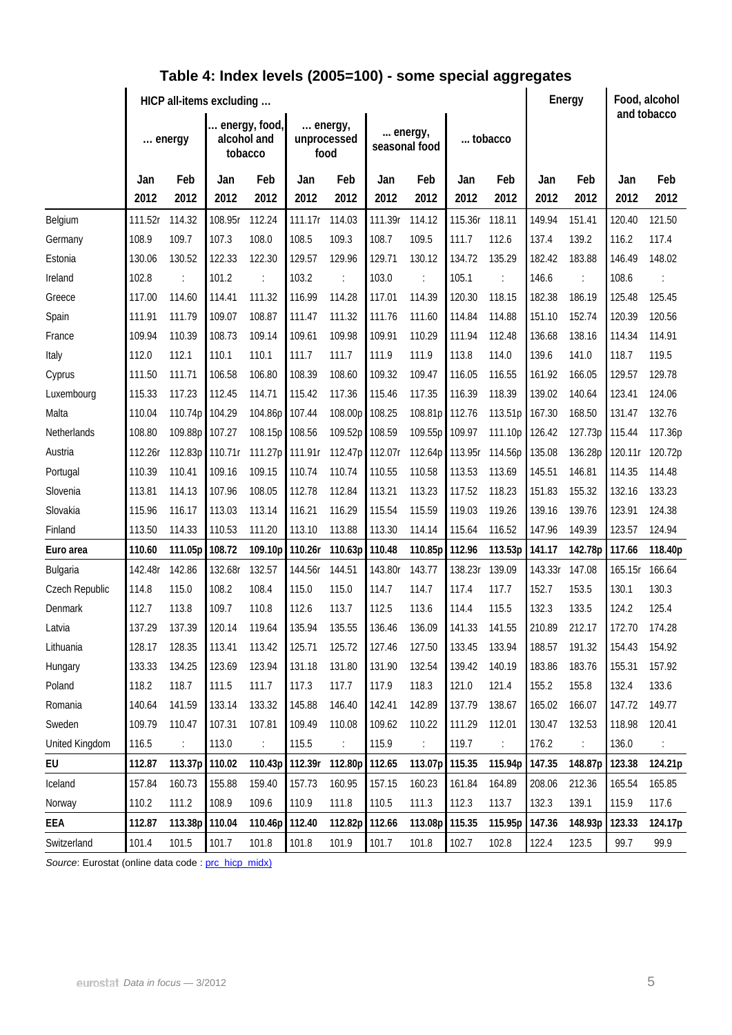|                | HICP all-items excluding |         |                                         |                      |         |                                |         |                          |         |                      |         | Energy         |         | Food, alcohol<br>and tobacco |  |
|----------------|--------------------------|---------|-----------------------------------------|----------------------|---------|--------------------------------|---------|--------------------------|---------|----------------------|---------|----------------|---------|------------------------------|--|
|                | energy                   |         | energy, food,<br>alcohol and<br>tobacco |                      |         | energy,<br>unprocessed<br>food |         | energy,<br>seasonal food |         | tobacco              |         |                |         |                              |  |
|                | Jan                      | Feb     | Jan                                     | Feb                  | Jan     | Feb                            | Jan     | Feb                      | Jan     | Feb                  | Jan     | Feb            | Jan     | Feb                          |  |
|                | 2012                     | 2012    | 2012                                    | 2012                 | 2012    | 2012                           | 2012    | 2012                     | 2012    | 2012                 | 2012    | 2012           | 2012    | 2012                         |  |
| Belgium        | 111.52r                  | 114.32  | 108.95r                                 | 112.24               | 111.17r | 114.03                         | 111.39r | 114.12                   | 115.36r | 118.11               | 149.94  | 151.41         | 120.40  | 121.50                       |  |
| Germany        | 108.9                    | 109.7   | 107.3                                   | 108.0                | 108.5   | 109.3                          | 108.7   | 109.5                    | 111.7   | 112.6                | 137.4   | 139.2          | 116.2   | 117.4                        |  |
| Estonia        | 130.06                   | 130.52  | 122.33                                  | 122.30               | 129.57  | 129.96                         | 129.71  | 130.12                   | 134.72  | 135.29               | 182.42  | 183.88         | 146.49  | 148.02                       |  |
| Ireland        | 102.8                    |         | 101.2                                   | ÷                    | 103.2   | $\ddot{\phantom{a}}$           | 103.0   | ÷                        | 105.1   | $\ddot{\cdot}$       | 146.6   | $\ddot{\cdot}$ | 108.6   | $\ddot{\cdot}$               |  |
| Greece         | 117.00                   | 114.60  | 114.41                                  | 111.32               | 116.99  | 114.28                         | 117.01  | 114.39                   | 120.30  | 118.15               | 182.38  | 186.19         | 125.48  | 125.45                       |  |
| Spain          | 111.91                   | 111.79  | 109.07                                  | 108.87               | 111.47  | 111.32                         | 111.76  | 111.60                   | 114.84  | 114.88               | 151.10  | 152.74         | 120.39  | 120.56                       |  |
| France         | 109.94                   | 110.39  | 108.73                                  | 109.14               | 109.61  | 109.98                         | 109.91  | 110.29                   | 111.94  | 112.48               | 136.68  | 138.16         | 114.34  | 114.91                       |  |
| Italy          | 112.0                    | 112.1   | 110.1                                   | 110.1                | 111.7   | 111.7                          | 111.9   | 111.9                    | 113.8   | 114.0                | 139.6   | 141.0          | 118.7   | 119.5                        |  |
| Cyprus         | 111.50                   | 111.71  | 106.58                                  | 106.80               | 108.39  | 108.60                         | 109.32  | 109.47                   | 116.05  | 116.55               | 161.92  | 166.05         | 129.57  | 129.78                       |  |
| Luxembourg     | 115.33                   | 117.23  | 112.45                                  | 114.71               | 115.42  | 117.36                         | 115.46  | 117.35                   | 116.39  | 118.39               | 139.02  | 140.64         | 123.41  | 124.06                       |  |
| Malta          | 110.04                   | 110.74p | 104.29                                  | 104.86p              | 107.44  | 108.00p                        | 108.25  | 108.81p                  | 112.76  | 113.51p              | 167.30  | 168.50         | 131.47  | 132.76                       |  |
| Netherlands    | 108.80                   | 109.88p | 107.27                                  | 108.15p              | 108.56  | 109.52p 108.59                 |         | 109.55p                  | 109.97  | 111.10p              | 126.42  | 127.73p        | 115.44  | 117.36p                      |  |
| Austria        | 112.26r                  | 112.83p | 110.71r                                 | 111.27p              | 111.91r | 112.47p                        | 112.07r | 112.64p                  | 113.95r | 114.56p              | 135.08  | 136.28p        | 120.11r | 120.72p                      |  |
| Portugal       | 110.39                   | 110.41  | 109.16                                  | 109.15               | 110.74  | 110.74                         | 110.55  | 110.58                   | 113.53  | 113.69               | 145.51  | 146.81         | 114.35  | 114.48                       |  |
| Slovenia       | 113.81                   | 114.13  | 107.96                                  | 108.05               | 112.78  | 112.84                         | 113.21  | 113.23                   | 117.52  | 118.23               | 151.83  | 155.32         | 132.16  | 133.23                       |  |
| Slovakia       | 115.96                   | 116.17  | 113.03                                  | 113.14               | 116.21  | 116.29                         | 115.54  | 115.59                   | 119.03  | 119.26               | 139.16  | 139.76         | 123.91  | 124.38                       |  |
| Finland        | 113.50                   | 114.33  | 110.53                                  | 111.20               | 113.10  | 113.88                         | 113.30  | 114.14                   | 115.64  | 116.52               | 147.96  | 149.39         | 123.57  | 124.94                       |  |
| Euro area      | 110.60                   | 111.05p | 108.72                                  | 109.10p              | 110.26r | 110.63p                        | 110.48  | 110.85p                  | 112.96  | 113.53p              | 141.17  | 142.78p        | 117.66  | 118.40p                      |  |
| Bulgaria       | 142.48r                  | 142.86  | 132.68r                                 | 132.57               | 144.56r | 144.51                         | 143.80r | 143.77                   | 138.23r | 139.09               | 143.33r | 147.08         | 165.15r | 166.64                       |  |
| Czech Republic | 114.8                    | 115.0   | 108.2                                   | 108.4                | 115.0   | 115.0                          | 114.7   | 114.7                    | 117.4   | 117.7                | 152.7   | 153.5          | 130.1   | 130.3                        |  |
| Denmark        | 112.7                    | 113.8   | 109.7                                   | 110.8                | 112.6   | 113.7                          | 112.5   | 113.6                    | 114.4   | 115.5                | 132.3   | 133.5          | 124.2   | 125.4                        |  |
| Latvia         | 137.29                   | 137.39  | 120.14                                  | 119.64               | 135.94  | 135.55                         | 136.46  | 136.09                   | 141.33  | 141.55               | 210.89  | 212.17         | 172.70  | 174.28                       |  |
| Lithuania      | 128.17                   | 128.35  | 113.41                                  | 113.42               | 125.71  | 125.72                         | 127.46  | 127.50                   | 133.45  | 133.94               | 188.57  | 191.32         | 154.43  | 154.92                       |  |
| Hungary        | 133.33                   | 134.25  | 123.69                                  | 123.94               | 131.18  | 131.80                         | 131.90  | 132.54                   | 139.42  | 140.19               | 183.86  | 183.76         | 155.31  | 157.92                       |  |
| Poland         | 118.2                    | 118.7   | 111.5                                   | 111.7                | 117.3   | 117.7                          | 117.9   | 118.3                    | 121.0   | 121.4                | 155.2   | 155.8          | 132.4   | 133.6                        |  |
| Romania        | 140.64                   | 141.59  | 133.14                                  | 133.32               | 145.88  | 146.40                         | 142.41  | 142.89                   | 137.79  | 138.67               | 165.02  | 166.07         | 147.72  | 149.77                       |  |
| Sweden         | 109.79                   | 110.47  | 107.31                                  | 107.81               | 109.49  | 110.08                         | 109.62  | 110.22                   | 111.29  | 112.01               | 130.47  | 132.53         | 118.98  | 120.41                       |  |
| United Kingdom | 116.5                    |         | 113.0                                   | $\ddot{\phantom{a}}$ | 115.5   | $\ddot{\phantom{a}}$           | 115.9   | $\ddot{\cdot}$           | 119.7   | $\ddot{\phantom{a}}$ | 176.2   | ÷              | 136.0   |                              |  |
| EU             | 112.87                   | 113.37p | 110.02                                  | 110.43p              |         | 112.39r 112.80p 112.65         |         | 113.07p                  | 115.35  | 115.94p              | 147.35  | 148.87p        | 123.38  | 124.21p                      |  |
| Iceland        | 157.84                   | 160.73  | 155.88                                  | 159.40               | 157.73  | 160.95                         | 157.15  | 160.23                   | 161.84  | 164.89               | 208.06  | 212.36         | 165.54  | 165.85                       |  |
| Norway         | 110.2                    | 111.2   | 108.9                                   | 109.6                | 110.9   | 111.8                          | 110.5   | 111.3                    | 112.3   | 113.7                | 132.3   | 139.1          | 115.9   | 117.6                        |  |
| EEA            | 112.87                   | 113.38p | 110.04                                  | 110.46p              | 112.40  | 112.82p 112.66                 |         | 113.08p                  | 115.35  | 115.95p              | 147.36  | 148.93p        | 123.33  | 124.17p                      |  |
| Switzerland    | 101.4                    | 101.5   | 101.7                                   | 101.8                | 101.8   | 101.9                          | 101.7   | 101.8                    | 102.7   | 102.8                | 122.4   | 123.5          | 99.7    | 99.9                         |  |

## **Table 4: Index levels (2005=100) - some special aggregates**

Source: Eurostat (online data code : [prc\\_hicp\\_midx\)](http://ec.europa.eu/eurostat/product?code=prc_hicp_midx&mode=view)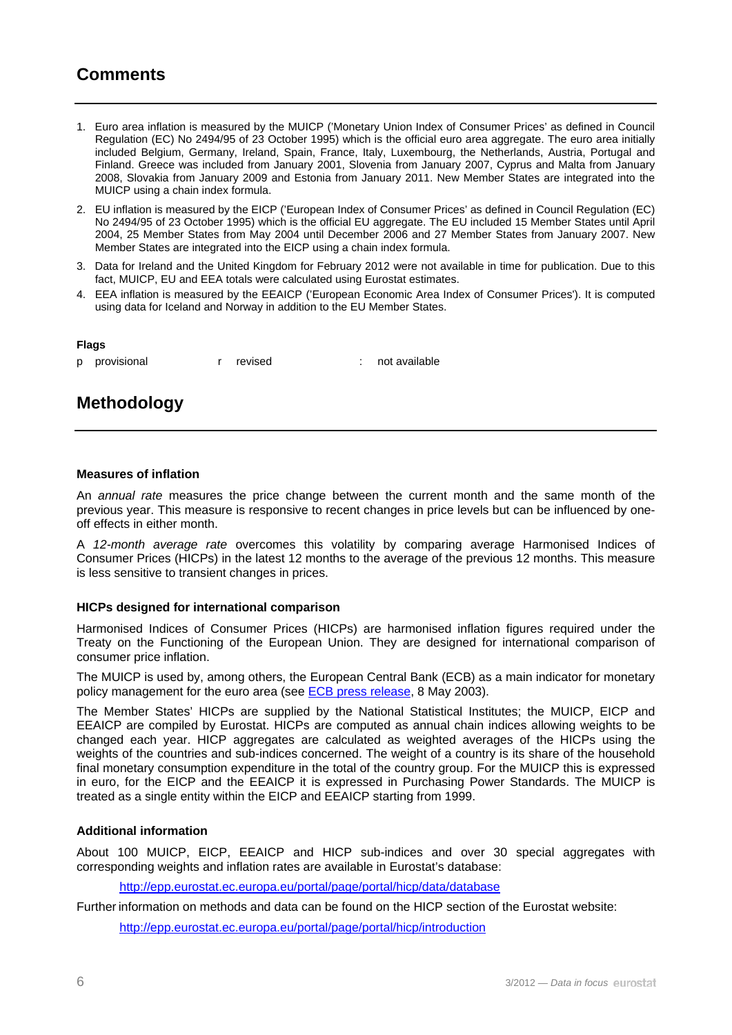## **Comments**

- 1. Euro area inflation is measured by the MUICP ('Monetary Union Index of Consumer Prices' as defined in Council Regulation (EC) No 2494/95 of 23 October 1995) which is the official euro area aggregate. The euro area initially included Belgium, Germany, Ireland, Spain, France, Italy, Luxembourg, the Netherlands, Austria, Portugal and Finland. Greece was included from January 2001, Slovenia from January 2007, Cyprus and Malta from January 2008, Slovakia from January 2009 and Estonia from January 2011. New Member States are integrated into the MUICP using a chain index formula.
- 2. EU inflation is measured by the EICP ('European Index of Consumer Prices' as defined in Council Regulation (EC) No 2494/95 of 23 October 1995) which is the official EU aggregate. The EU included 15 Member States until April 2004, 25 Member States from May 2004 until December 2006 and 27 Member States from January 2007. New Member States are integrated into the EICP using a chain index formula.
- 3. Data for Ireland and the United Kingdom for February 2012 were not available in time for publication. Due to this fact, MUICP, EU and EEA totals were calculated using Eurostat estimates.
- 4. EEA inflation is measured by the EEAICP ('European Economic Area Index of Consumer Prices'). It is computed using data for Iceland and Norway in addition to the EU Member States.

#### **Flags**

p provisional r revised : not available

### **Methodology**

#### **Measures of inflation**

An *annual rate* measures the price change between the current month and the same month of the previous year. This measure is responsive to recent changes in price levels but can be influenced by oneoff effects in either month.

A *12-month average rate* overcomes this volatility by comparing average Harmonised Indices of Consumer Prices (HICPs) in the latest 12 months to the average of the previous 12 months. This measure is less sensitive to transient changes in prices.

#### **HICPs designed for international comparison**

Harmonised Indices of Consumer Prices (HICPs) are harmonised inflation figures required under the Treaty on the Functioning of the European Union. They are designed for international comparison of consumer price inflation.

The MUICP is used by, among others, the European Central Bank (ECB) as a main indicator for monetary policy management for the euro area (see **ECB** press release, 8 May 2003).

The Member States' HICPs are supplied by the National Statistical Institutes; the MUICP, EICP and EEAICP are compiled by Eurostat. HICPs are computed as annual chain indices allowing weights to be changed each year. HICP aggregates are calculated as weighted averages of the HICPs using the weights of the countries and sub-indices concerned. The weight of a country is its share of the household final monetary consumption expenditure in the total of the country group. For the MUICP this is expressed in euro, for the EICP and the EEAICP it is expressed in Purchasing Power Standards. The MUICP is treated as a single entity within the EICP and EEAICP starting from 1999.

#### **Additional information**

About 100 MUICP, EICP, EEAICP and HICP sub-indices and over 30 special aggregates with corresponding weights and inflation rates are available in Eurostat's database:

<http://epp.eurostat.ec.europa.eu/portal/page/portal/hicp/data/database>

Further information on methods and data can be found on the HICP section of the Eurostat website:

<http://epp.eurostat.ec.europa.eu/portal/page/portal/hicp/introduction>